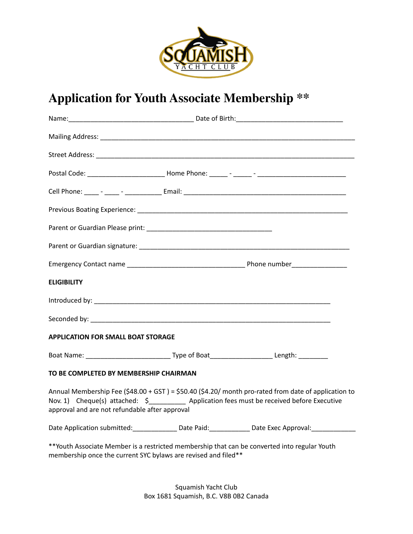

## **Application for Youth Associate Membership \*\***

| <b>ELIGIBILITY</b>                                                                                   |                                                                                                                                                                                                       |
|------------------------------------------------------------------------------------------------------|-------------------------------------------------------------------------------------------------------------------------------------------------------------------------------------------------------|
|                                                                                                      |                                                                                                                                                                                                       |
|                                                                                                      |                                                                                                                                                                                                       |
| <b>APPLICATION FOR SMALL BOAT STORAGE</b>                                                            |                                                                                                                                                                                                       |
| Boat Name: ___________________________________Type of Boat_______________________Length: ___________ |                                                                                                                                                                                                       |
| TO BE COMPLETED BY MEMBERSHIP CHAIRMAN                                                               |                                                                                                                                                                                                       |
| approval and are not refundable after approval                                                       | Annual Membership Fee (\$48.00 + GST) = \$50.40 (\$4.20/ month pro-rated from date of application to<br>Nov. 1) Cheque(s) attached: \$____________ Application fees must be received before Executive |
|                                                                                                      | Date Application submitted: _________________Date Paid: _______________Date Exec Approval: _______________                                                                                            |
| membership once the current SYC bylaws are revised and filed**                                       | **Youth Associate Member is a restricted membership that can be converted into regular Youth                                                                                                          |

Squamish Yacht Club Box 1681 Squamish, B.C. V8B 0B2 Canada